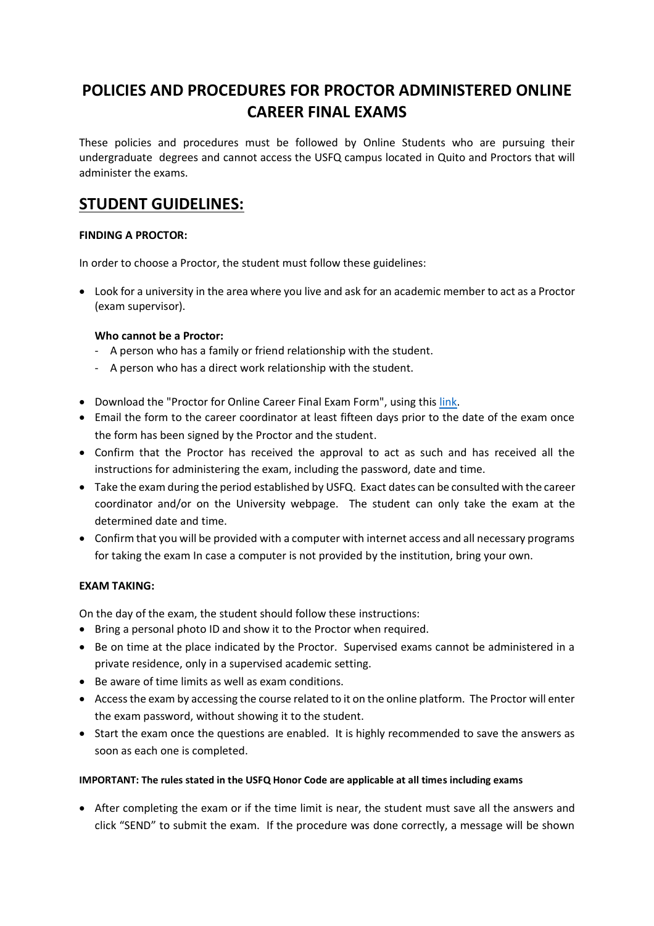# **POLICIES AND PROCEDURES FOR PROCTOR ADMINISTERED ONLINE CAREER FINAL EXAMS**

These policies and procedures must be followed by Online Students who are pursuing their undergraduate degrees and cannot access the USFQ campus located in Quito and Proctors that will administer the exams.

### **STUDENT GUIDELINES:**

### **FINDING A PROCTOR:**

In order to choose a Proctor, the student must follow these guidelines:

• Look for a university in the area where you live and ask for an academic member to act as a Proctor (exam supervisor).

### **Who cannot be a Proctor:**

- A person who has a family or friend relationship with the student.
- A person who has a direct work relationship with the student.
- Download the "Proctor for Online Career Final Exam Form", using this [link.](http://www.usfq.edu.ec/programas_academicos/educacionenlinea/Documents/pro_graduacion/Proctor_for_Online_Career_Final_Exam_Form.pdf)
- Email the form to the career coordinator at least fifteen days prior to the date of the exam once the form has been signed by the Proctor and the student.
- Confirm that the Proctor has received the approval to act as such and has received all the instructions for administering the exam, including the password, date and time.
- Take the exam during the period established by USFQ. Exact dates can be consulted with the career coordinator and/or on the University webpage. The student can only take the exam at the determined date and time.
- Confirm that you will be provided with a computer with internet access and all necessary programs for taking the exam In case a computer is not provided by the institution, bring your own.

### **EXAM TAKING:**

On the day of the exam, the student should follow these instructions:

- Bring a personal photo ID and show it to the Proctor when required.
- Be on time at the place indicated by the Proctor. Supervised exams cannot be administered in a private residence, only in a supervised academic setting.
- Be aware of time limits as well as exam conditions.
- Access the exam by accessing the course related to it on the online platform. The Proctor will enter the exam password, without showing it to the student.
- Start the exam once the questions are enabled. It is highly recommended to save the answers as soon as each one is completed.

### **IMPORTANT: The rules stated in the USFQ Honor Code are applicable at all times including exams**

• After completing the exam or if the time limit is near, the student must save all the answers and click "SEND" to submit the exam. If the procedure was done correctly, a message will be shown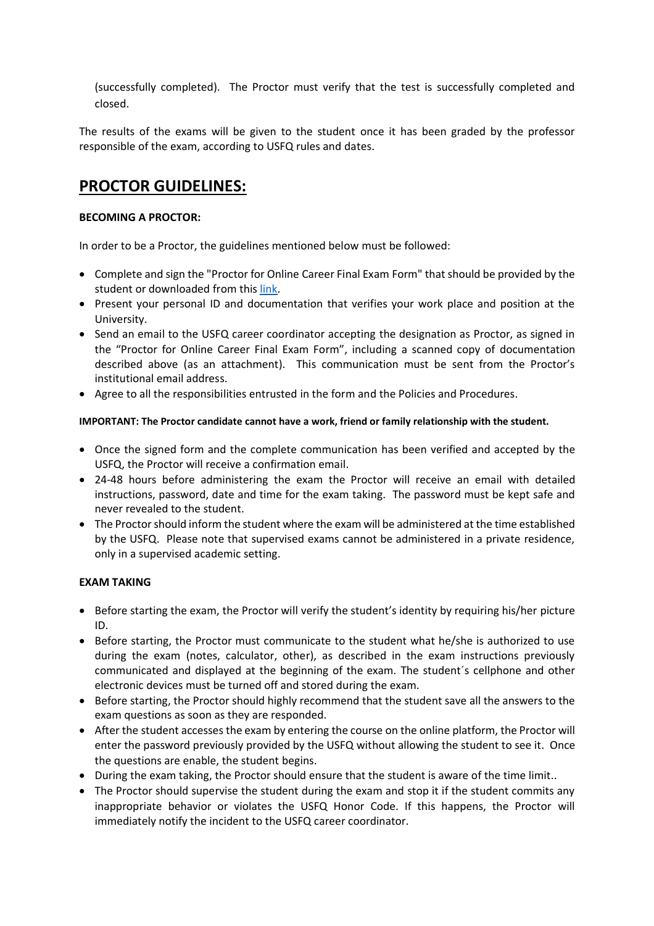(successfully completed). The Proctor must verify that the test is successfully completed and closed.

The results of the exams will be given to the student once it has been graded by the professor responsible of the exam, according to USFQ rules and dates.

### **PROCTOR GUIDELINES:**

### **BECOMING A PROCTOR:**

In order to be a Proctor, the guidelines mentioned below must be followed:

- Complete and sign the "Proctor for Online Career Final Exam Form" that should be provided by the student or downloaded from this [link.](http://www.usfq.edu.ec/programas_academicos/educacionenlinea/Documents/pro_graduacion/Proctor_for_Online_Career_Final_Exam_Form.pdf)
- Present your personal ID and documentation that verifies your work place and position at the University.
- Send an email to the USFQ career coordinator accepting the designation as Proctor, as signed in the "Proctor for Online Career Final Exam Form", including a scanned copy of documentation described above (as an attachment). This communication must be sent from the Proctor's institutional email address.
- Agree to all the responsibilities entrusted in the form and the Policies and Procedures.

### **IMPORTANT: The Proctor candidate cannot have a work, friend or family relationship with the student.**

- Once the signed form and the complete communication has been verified and accepted by the USFQ, the Proctor will receive a confirmation email.
- 24-48 hours before administering the exam the Proctor will receive an email with detailed instructions, password, date and time for the exam taking. The password must be kept safe and never revealed to the student.
- The Proctor should inform the student where the exam will be administered at the time established by the USFQ. Please note that supervised exams cannot be administered in a private residence, only in a supervised academic setting.

### **EXAM TAKING**

- Before starting the exam, the Proctor will verify the student's identity by requiring his/her picture ID.
- Before starting, the Proctor must communicate to the student what he/she is authorized to use during the exam (notes, calculator, other), as described in the exam instructions previously communicated and displayed at the beginning of the exam. The student´s cellphone and other electronic devices must be turned off and stored during the exam.
- Before starting, the Proctor should highly recommend that the student save all the answers to the exam questions as soon as they are responded.
- After the student accesses the exam by entering the course on the online platform, the Proctor will enter the password previously provided by the USFQ without allowing the student to see it. Once the questions are enable, the student begins.
- During the exam taking, the Proctor should ensure that the student is aware of the time limit..
- The Proctor should supervise the student during the exam and stop it if the student commits any inappropriate behavior or violates the USFQ Honor Code. If this happens, the Proctor will immediately notify the incident to the USFQ career coordinator.